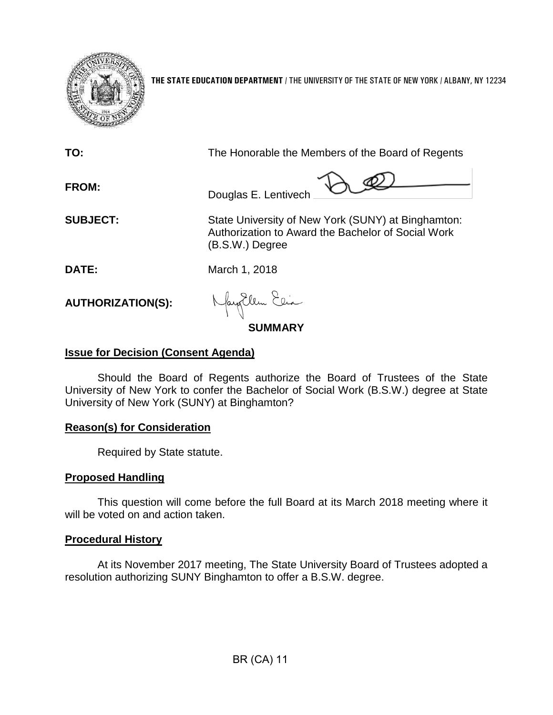

**THE STATE EDUCATION DEPARTMENT** / THE UNIVERSITY OF THE STATE OF NEW YORK / ALBANY, NY 12234

| TO:                      | The Honorable the Members of the Board of Regents                                                                           |
|--------------------------|-----------------------------------------------------------------------------------------------------------------------------|
| <b>FROM:</b>             | Douglas E. Lentivech                                                                                                        |
| <b>SUBJECT:</b>          | State University of New York (SUNY) at Binghamton:<br>Authorization to Award the Bachelor of Social Work<br>(B.S.W.) Degree |
| DATE:                    | March 1, 2018                                                                                                               |
| <b>AUTHORIZATION(S):</b> | Nagollem Elia                                                                                                               |

# **SUMMARY**

## **Issue for Decision (Consent Agenda)**

Should the Board of Regents authorize the Board of Trustees of the State University of New York to confer the Bachelor of Social Work (B.S.W.) degree at State University of New York (SUNY) at Binghamton?

### **Reason(s) for Consideration**

Required by State statute.

#### **Proposed Handling**

This question will come before the full Board at its March 2018 meeting where it will be voted on and action taken.

### **Procedural History**

At its November 2017 meeting, The State University Board of Trustees adopted a resolution authorizing SUNY Binghamton to offer a B.S.W. degree.